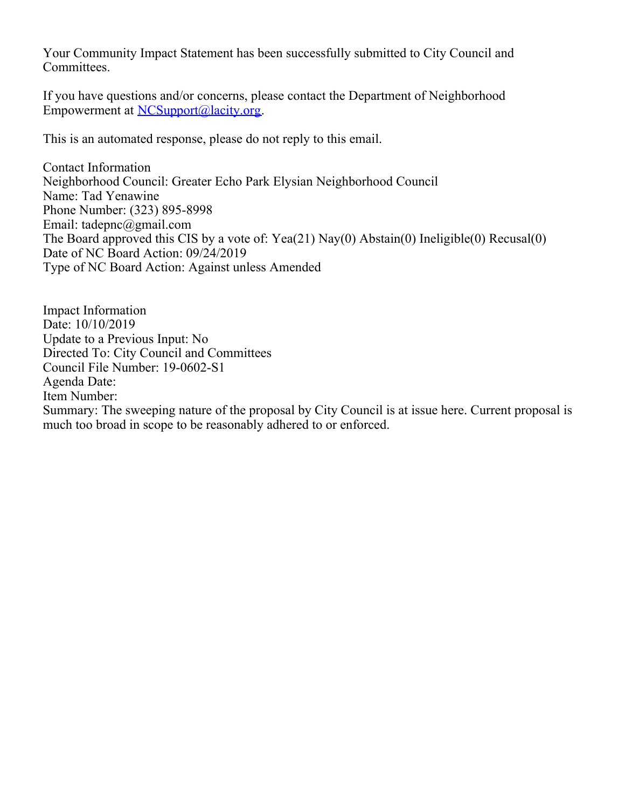Your Community Impact Statement has been successfully submitted to City Council and Committees.

If you have questions and/or concerns, please contact the Department of Neighborhood Empowerment at [NCSupport@lacity.org](mailto:NCSupport@lacity.org).

This is an automated response, please do not reply to this email.

Contact Information Neighborhood Council: Greater Echo Park Elysian Neighborhood Council Name: Tad Yenawine Phone Number: (323) 895-8998 Email: tadepnc@gmail.com The Board approved this CIS by a vote of: Yea(21) Nay(0) Abstain(0) Ineligible(0) Recusal(0) Date of NC Board Action: 09/24/2019 Type of NC Board Action: Against unless Amended

Impact Information Date: 10/10/2019 Update to a Previous Input: No Directed To: City Council and Committees Council File Number: 19-0602-S1 Agenda Date: Item Number: Summary: The sweeping nature of the proposal by City Council is at issue here. Current proposal is much too broad in scope to be reasonably adhered to or enforced.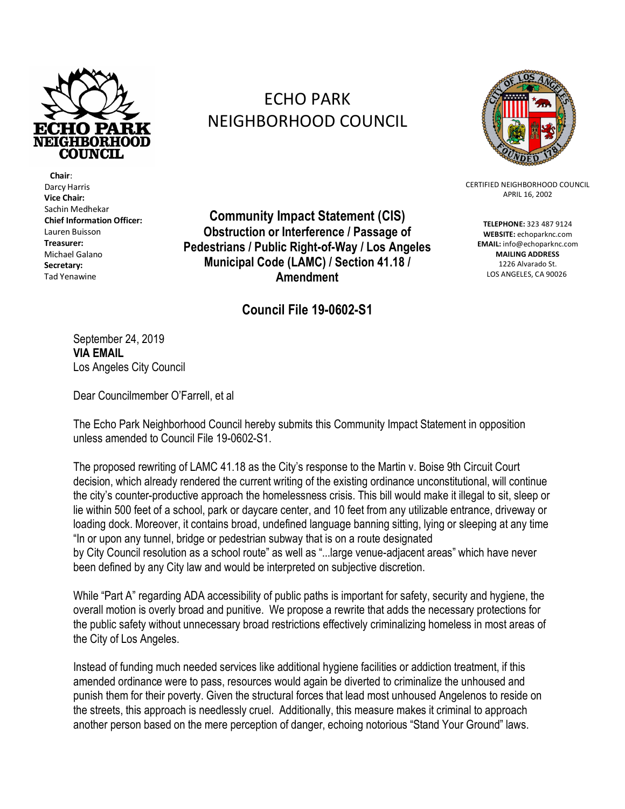

 **Chair**: Darcy Harris **Vice Chair:** Sachin Medhekar **Chief Information Officer:**  Lauren Buisson **Treasurer:** Michael Galano **Secretary:** Tad Yenawine

## ECHO PARK NEIGHBORHOOD COUNCIL



CERTIFIED NEIGHBORHOOD COUNCIL APRIL 16, 2002

**TELEPHONE:** 323 487 9124 **WEBSITE:** echoparknc.com **EMAIL:** info@echoparknc.com **MAILING ADDRESS** 1226 Alvarado St. LOS ANGELES, CA 90026

**Community Impact Statement (CIS) Obstruction or Interference / Passage of Pedestrians / Public Right-of-Way / Los Angeles Municipal Code (LAMC) / Section 41.18 / Amendment**

## **Council File 19-0602-S1**

September 24, 2019 **VIA EMAIL** Los Angeles City Council

Dear Councilmember O'Farrell, et al

The Echo Park Neighborhood Council hereby submits this Community Impact Statement in opposition unless amended to Council File 19-0602-S1.

The proposed rewriting of LAMC 41.18 as the City's response to the Martin v. Boise 9th Circuit Court decision, which already rendered the current writing of the existing ordinance unconstitutional, will continue the city's counter-productive approach the homelessness crisis. This bill would make it illegal to sit, sleep or lie within 500 feet of a school, park or daycare center, and 10 feet from any utilizable entrance, driveway or loading dock. Moreover, it contains broad, undefined language banning sitting, lying or sleeping at any time "In or upon any tunnel, bridge or pedestrian subway that is on a route designated by City Council resolution as a school route" as well as "...large venue-adjacent areas" which have never been defined by any City law and would be interpreted on subjective discretion.

While "Part A" regarding ADA accessibility of public paths is important for safety, security and hygiene, the overall motion is overly broad and punitive. We propose a rewrite that adds the necessary protections for the public safety without unnecessary broad restrictions effectively criminalizing homeless in most areas of the City of Los Angeles.

Instead of funding much needed services like additional hygiene facilities or addiction treatment, if this amended ordinance were to pass, resources would again be diverted to criminalize the unhoused and punish them for their poverty. Given the structural forces that lead most unhoused Angelenos to reside on the streets, this approach is needlessly cruel. Additionally, this measure makes it criminal to approach another person based on the mere perception of danger, echoing notorious "Stand Your Ground" laws.